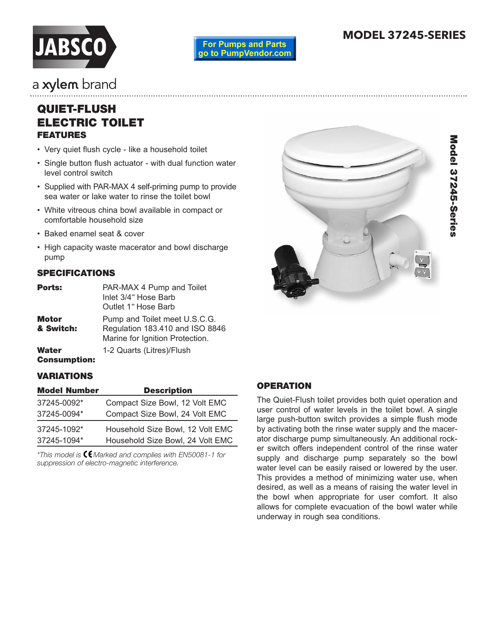

**For Pumps and Parts** go to PumpVendor.com

# **MODEL 37245-SERIES**

# a xylem brand

# **QUIET-FLUSH ELECTRIC TOILET FEATURES**

- Very quiet flush cycle like a household toilet
- Single button flush actuator with dual function water level control switch
- Supplied with PAR-MAX 4 self-priming pump to provide sea water or lake water to rinse the toilet bowl
- White vitreous china bowl available in compact or comfortable household size
- Baked enamel seat & cover
- High capacity waste macerator and bowl discharge pump

# **SPECIFICATIONS**

| Ports:             | PAR-MAX 4 Pump and Toilet<br>Inlet 3/4" Hose Barb<br>Outlet 1" Hose Barb                            |  |  |
|--------------------|-----------------------------------------------------------------------------------------------------|--|--|
| Motor<br>& Switch: | Pump and Toilet meet U.S.C.G.<br>Regulation 183.410 and ISO 8846<br>Marine for Ignition Protection. |  |  |
| Water              | 1-2 Quarts (Litres)/Flush                                                                           |  |  |

# **Consumption:**

#### **VARIATIONS**

| <b>Model Number</b> | <b>Description</b>               |
|---------------------|----------------------------------|
| 37245-0092*         | Compact Size Bowl, 12 Volt EMC   |
| 37245-0094*         | Compact Size Bowl, 24 Volt EMC   |
| 37245-1092*         | Household Size Bowl, 12 Volt EMC |
| 37245-1094*         | Household Size Bowl, 24 Volt EMC |

*\*This model is Marked and complies with EN50081-1 for suppression of electro-magnetic interference.*



# **OPERATION**

The Quiet-Flush toilet provides both quiet operation and user control of water levels in the toilet bowl. A single large push-button switch provides a simple flush mode by activating both the rinse water supply and the macerator discharge pump simultaneously. An additional rocker switch offers independent control of the rinse water supply and discharge pump separately so the bowl water level can be easily raised or lowered by the user. This provides a method of minimizing water use, when desired, as well as a means of raising the water level in the bowl when appropriate for user comfort. It also allows for complete evacuation of the bowl water while underway in rough sea conditions.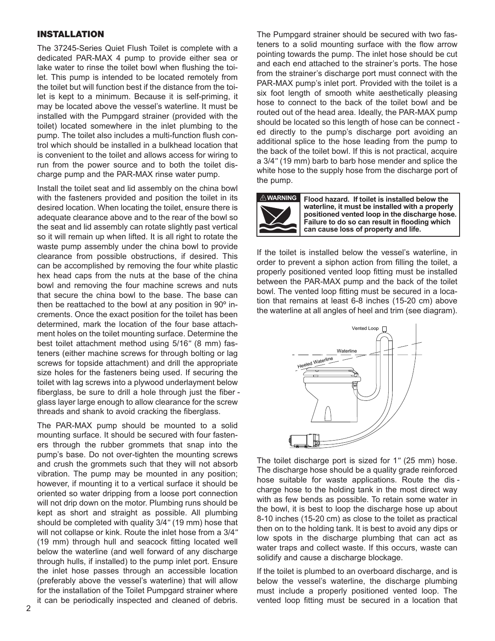## **INSTALLATION**

The 37245-Series Quiet Flush Toilet is complete with a dedicated PAR-MAX 4 pump to provide either sea or lake water to rinse the toilet bowl when flushing the toilet. This pump is intended to be located remotely from the toilet but will function best if the distance from the toilet is kept to a minimum. Because it is self-priming, it may be located above the vessel's waterline. It must be installed with the Pumpgard strainer (provided with the toilet) located somewhere in the inlet plumbing to the pump. The toilet also includes a multi-function flush control which should be installed in a bulkhead location that is convenient to the toilet and allows access for wiring to run from the power source and to both the toilet discharge pump and the PAR-MAX rinse water pump.

Install the toilet seat and lid assembly on the china bowl with the fasteners provided and position the toilet in its desired location. When locating the toilet, ensure there is adequate clearance above and to the rear of the bowl so the seat and lid assembly can rotate slightly past vertical so it will remain up when lifted. It is all right to rotate the waste pump assembly under the china bowl to provide clearance from possible obstructions, if desired. This can be accomplished by removing the four white plastic hex head caps from the nuts at the base of the china bowl and removing the four machine screws and nuts that secure the china bowl to the base. The base can then be reattached to the bowl at any position in 90<sup>°</sup> incre ments. Once the exact position for the toilet has been determined, mark the location of the four base attachment holes on the toilet mounting surface. Determine the best toilet attachment method using 5/16" (8 mm) fasteners (either machine screws for through bolting or lag screws for topside attachment) and drill the appropriate size holes for the fasteners being used. If securing the toilet with lag screws into a plywood underlayment below fiberglass, be sure to drill a hole through just the fiber glass layer large enough to allow clearance for the screw threads and shank to avoid cracking the fiberglass.

The PAR-MAX pump should be mounted to a solid mounting surface. It should be secured with four fasteners through the rubber grom mets that snap into the pump's base. Do not over-tighten the mounting screws and crush the grommets such that they will not absorb vibration. The pump may be mounted in any position; however, if mounting it to a vertical surface it should be oriented so water dripping from a loose port connection will not drip down on the motor. Plumbing runs should be kept as short and straight as possible. All plumbing should be completed with quality 3/4" (19 mm) hose that will not collapse or kink. Route the inlet hose from a 3/4*"* (19 mm) through hull and seacock fitting located well below the waterline (and well forward of any discharge through hulls, if installed) to the pump inlet port. Ensure the inlet hose passes through an accessible location (preferably above the vessel's waterline) that will allow for the installation of the Toilet Pumpgard strainer where it can be periodically inspected and cleaned of debris.

The Pumpgard strainer should be secured with two fasteners to a solid mounting surface with the flow arrow pointing towards the pump. The inlet hose should be cut and each end attached to the strainer's ports. The hose from the strainer's discharge port must connect with the PAR-MAX pump's inlet port. Provided with the toilet is a six foot length of smooth white aesthetically pleasing hose to connect to the back of the toilet bowl and be routed out of the head area. Ideally, the PAR-MAX pump should be located so this length of hose can be connect ed directly to the pump's discharge port avoiding an additional splice to the hose leading from the pump to the back of the toilet bowl. If this is not practical, acquire a 3/4*"* (19 mm) barb to barb hose mender and splice the white hose to the supply hose from the discharge port of the pump.



**Flood hazard. If toilet is installed below the waterline, it must be installed with a properly positioned vented loop in the discharge hose. Failure to do so can result in flooding which can cause loss of property and life.**

If the toilet is installed below the vessel's waterline, in order to prevent a siphon action from filling the toilet, a properly positioned vented loop fitting must be installed between the PAR-MAX pump and the back of the toilet bowl. The vented loop fitting must be secured in a location that remains at least 6-8 inches (15-20 cm) above the waterline at all angles of heel and trim (see diagram).



The toilet discharge port is sized for 1*"* (25 mm) hose. The discharge hose should be a quality grade reinforced hose suitable for waste applications. Route the dis charge hose to the holding tank in the most direct way with as few bends as possible. To retain some water in the bowl, it is best to loop the discharge hose up about 8-10 inches (15-20 cm) as close to the toilet as practical then on to the holding tank. It is best to avoid any dips or low spots in the discharge plumbing that can act as water traps and collect waste. If this occurs, waste can solidify and cause a discharge blockage.

If the toilet is plumbed to an overboard discharge, and is below the vessel's waterline, the discharge plumbing must include a properly positioned vented loop. The vented loop fitting must be secured in a location that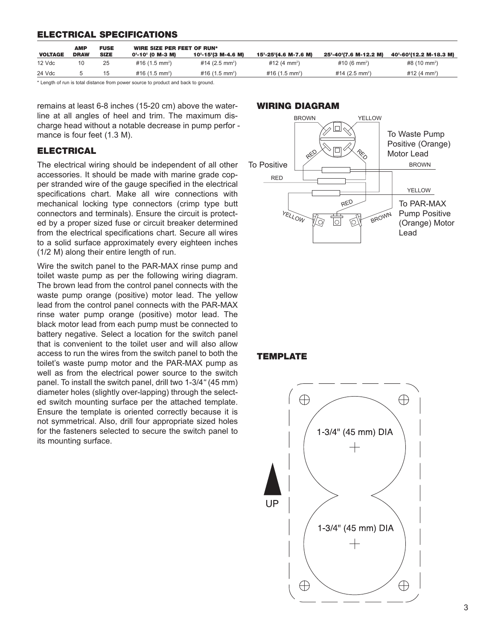## **ELECTRICAL SPECIFICATIONS**

|                | <b>AMP</b>  | <b>FUSE</b> | WIRE SIZE PER FEET OF RUN* |                            |                          |                          |                          |
|----------------|-------------|-------------|----------------------------|----------------------------|--------------------------|--------------------------|--------------------------|
| <b>VOLTAGE</b> | <b>DRAW</b> | <b>SIZE</b> | 0'-10' (0 M-3 M)           | 10'-15'(3 M-4.6 M)         | 15'-25'(4.6 M-7.6 M)     | 25'-40'(7.6 M-12.2 M)    | 40'-60'(12.2 M-18.3 M)   |
| 12 Vdc         | 10          | 25          | #16 (1.5 mm <sup>2</sup> ) | #14 (2.5 mm <sup>2</sup> ) | #12 (4 mm <sup>2</sup> ) | #10 (6 mm <sup>2</sup> ) | #8 (10 mm <sup>2</sup> ) |
| 24 Vdc         |             | 15          | #16 (1.5 mm <sup>2</sup> ) | #16 $(1.5 \text{ mm}^2)$   | #16 $(1.5 \text{ mm}^2)$ | #14 $(2.5 \text{ mm}^2)$ | #12 (4 mm <sup>2</sup> ) |

\* Length of run is total distance from power source to product and back to ground.

remains at least 6-8 inches (15-20 cm) above the waterline at all angles of heel and trim. The maximum discharge head without a notable decrease in pump perfor mance is four feet (1.3 M).

## **ELECTRICAL**

The electrical wiring should be independent of all other accessories. It should be made with marine grade copper stranded wire of the gauge specified in the electrical specifications chart. Make all wire connections with me chanical locking type connectors (crimp type butt connectors and terminals). Ensure the circuit is protected by a proper sized fuse or circuit breaker determined from the electrical specifications chart. Secure all wires to a solid surface approximately every eighteen inches (1/2 M) along their entire length of run.

Wire the switch panel to the PAR-MAX rinse pump and toilet waste pump as per the following wiring diagram. The brown lead from the control panel connects with the waste pump orange (positive) motor lead. The yellow lead from the control panel connects with the PAR-MAX rinse water pump orange (positive) motor lead. The black motor lead from each pump must be connected to battery negative. Select a location for the switch panel that is convenient to the toilet user and will also allow access to run the wires from the switch panel to both the toilet's waste pump motor and the PAR-MAX pump as well as from the electrical power source to the switch panel. To install the switch panel, drill two 1-3/4*"* (45 mm) diameter holes (slightly over-lapping) through the selected switch mounting surface per the attached template. Ensure the template is oriented correctly because it is not symmetrical. Also, drill four appropriate sized holes for the fasteners selected to secure the switch panel to its mounting surface.

#### **WIRING DIAGRAM**



# **TEMPLATE**

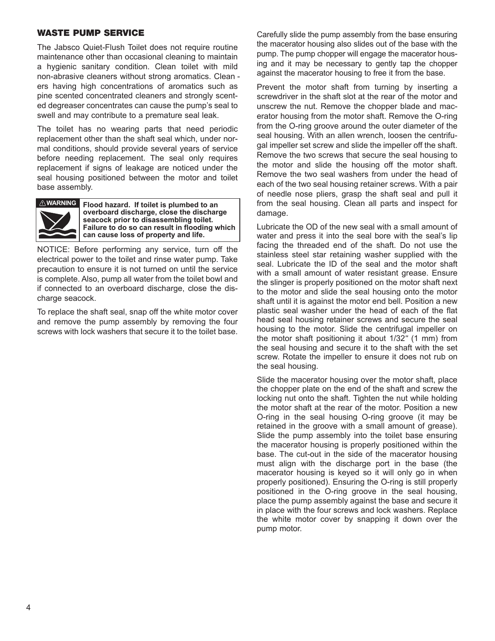#### **WASTE PUMP SERVICE**

The Jabsco Quiet-Flush Toilet does not require routine maintenance other than occasional cleaning to maintain a hygienic sanitary condition. Clean toilet with mild non-abrasive cleaners without strong aromatics. Clean ers having high concentrations of aromatics such as pine scented concentrated cleaners and strongly scented degreaser concentrates can cause the pump's seal to swell and may contribute to a premature seal leak.

The toilet has no wearing parts that need periodic replacement other than the shaft seal which, under normal conditions, should provide several years of service before needing replacement. The seal only requires replacement if signs of leakage are noticed under the seal housing positioned between the motor and toilet base assembly.



**EXAGERED FROOD hazard.** If toilet is plumbed to an **overboard discharge, close the discharge seacock prior to disassembling toilet. Failure to do so can result in flooding which can cause loss of property and life.**

NOTICE: Before performing any service, turn off the electrical power to the toilet and rinse water pump. Take precaution to ensure it is not turned on until the service is complete. Also, pump all water from the toilet bowl and if connected to an overboard discharge, close the discharge seacock.

To replace the shaft seal, snap off the white motor cover and remove the pump assembly by removing the four screws with lock washers that secure it to the toilet base.

Carefully slide the pump assembly from the base ensuring the macerator housing also slides out of the base with the pump. The pump chopper will engage the macerator housing and it may be necessary to gently tap the chopper against the macerator housing to free it from the base.

Prevent the motor shaft from turning by inserting a screwdriver in the shaft slot at the rear of the motor and unscrew the nut. Remove the chopper blade and macerator housing from the motor shaft. Remove the O-ring from the O-ring groove around the outer diameter of the seal housing. With an allen wrench, loosen the centrifugal impeller set screw and slide the impeller off the shaft. Remove the two screws that secure the seal housing to the motor and slide the housing off the motor shaft. Remove the two seal washers from under the head of each of the two seal housing retainer screws. With a pair of needle nose pliers, grasp the shaft seal and pull it from the seal housing. Clean all parts and inspect for damage.

Lubricate the OD of the new seal with a small amount of water and press it into the seal bore with the seal's lip facing the threaded end of the shaft. Do not use the stainless steel star retaining washer supplied with the seal. Lubricate the ID of the seal and the motor shaft with a small amount of water resistant grease. Ensure the slinger is properly positioned on the motor shaft next to the motor and slide the seal housing onto the motor shaft until it is against the motor end bell. Position a new plastic seal washer under the head of each of the flat head seal housing retainer screws and secure the seal housing to the motor. Slide the centrifugal impeller on the motor shaft positioning it about 1/32*"* (1 mm) from the seal housing and secure it to the shaft with the set screw. Rotate the impeller to ensure it does not rub on the seal housing.

Slide the macerator housing over the motor shaft, place the chopper plate on the end of the shaft and screw the locking nut onto the shaft. Tighten the nut while holding the motor shaft at the rear of the motor. Position a new O-ring in the seal housing O-ring groove (it may be retained in the groove with a small amount of grease). Slide the pump assembly into the toilet base ensuring the macerator housing is properly positioned within the base. The cut-out in the side of the macerator housing must align with the discharge port in the base (the macerator housing is keyed so it will only go in when properly positioned). Ensuring the O-ring is still properly positioned in the O-ring groove in the seal housing, place the pump assembly against the base and secure it in place with the four screws and lock washers. Replace the white motor cover by snapping it down over the pump motor.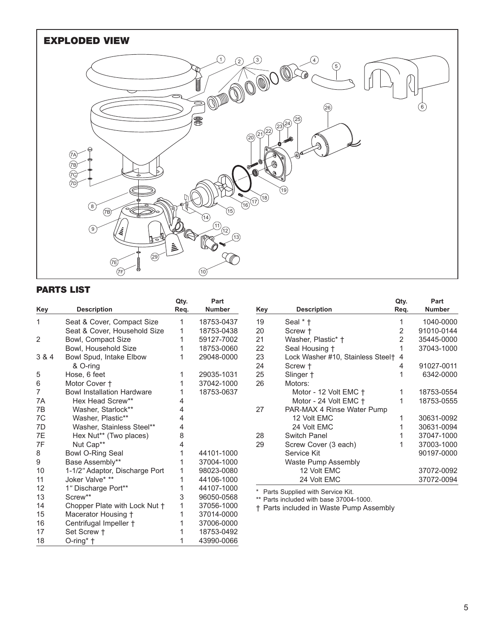

# **PARTS LIST**

|       |                                     | Qty. | Part          |
|-------|-------------------------------------|------|---------------|
| Key   | <b>Description</b>                  | Req. | <b>Number</b> |
| 1     | Seat & Cover, Compact Size          | 1    | 18753-0437    |
|       | Seat & Cover, Household Size        | 1    | 18753-0438    |
| 2     | Bowl, Compact Size                  | 1    | 59127-7002    |
|       | Bowl, Household Size                | 1    | 18753-0060    |
| 3 & 4 | Bowl Spud, Intake Elbow<br>& O-ring | 1    | 29048-0000    |
| 5     | Hose, 6 feet                        | 1    | 29035-1031    |
| 6     | Motor Cover +                       | 1    | 37042-1000    |
| 7     | <b>Bowl Installation Hardware</b>   | 1    | 18753-0637    |
| 7A    | Hex Head Screw**                    | 4    |               |
| 7B    | Washer, Starlock**                  | 4    |               |
| 7C    | Washer, Plastic**                   | 4    |               |
| 7D    | Washer, Stainless Steel**           | 4    |               |
| 7E    | Hex Nut** (Two places)              | 8    |               |
| 7F    | Nut Cap**                           | 4    |               |
| 8     | <b>Bowl O-Ring Seal</b>             | 1    | 44101-1000    |
| 9     | Base Assembly**                     | 1    | 37004-1000    |
| 10    | 1-1/2" Adaptor, Discharge Port      | 1    | 98023-0080    |
| 11    | Joker Valve* **                     | 1    | 44106-1000    |
| 12    | 1" Discharge Port**                 | 1    | 44107-1000    |
| 13    | Screw**                             | 3    | 96050-0568    |
| 14    | Chopper Plate with Lock Nut +       | 1    | 37056-1000    |
| 15    | Macerator Housing +                 | 1    | 37014-0000    |
| 16    | Centrifugal Impeller +              | 1    | 37006-0000    |
| 17    | Set Screw †                         | 1    | 18753-0492    |
| 18    | O-ring* †                           | 1    | 43990-0066    |

|     |                                   | Qty. | Part          |
|-----|-----------------------------------|------|---------------|
| Key | <b>Description</b>                | Req. | <b>Number</b> |
| 19  | Seal * †                          | 1    | 1040-0000     |
| 20  | Screw +                           | 2    | 91010-0144    |
| 21  | Washer, Plastic* †                | 2    | 35445-0000    |
| 22  | Seal Housing †                    | 1    | 37043-1000    |
| 23  | Lock Washer #10, Stainless Steel† | 4    |               |
| 24  | Screw +                           | 4    | 91027-0011    |
| 25  | Slinger +                         | 1    | 6342-0000     |
| 26  | Motors:                           |      |               |
|     | Motor - 12 Volt EMC +             | 1    | 18753-0554    |
|     | Motor - 24 Volt EMC +             | 1    | 18753-0555    |
| 27  | PAR-MAX 4 Rinse Water Pump        |      |               |
|     | 12 Volt EMC                       | 1    | 30631-0092    |
|     | 24 Volt EMC                       | 1    | 30631-0094    |
| 28  | Switch Panel                      | 1    | 37047-1000    |
| 29  | Screw Cover (3 each)              | 1    | 37003-1000    |
|     | Service Kit                       |      | 90197-0000    |
|     | Waste Pump Assembly               |      |               |
|     | 12 Volt EMC                       |      | 37072-0092    |
|     | 24 Volt EMC                       |      | 37072-0094    |

\* Parts Supplied with Service Kit.

\*\* Parts included with base 37004-1000.

† Parts included in Waste Pump Assembly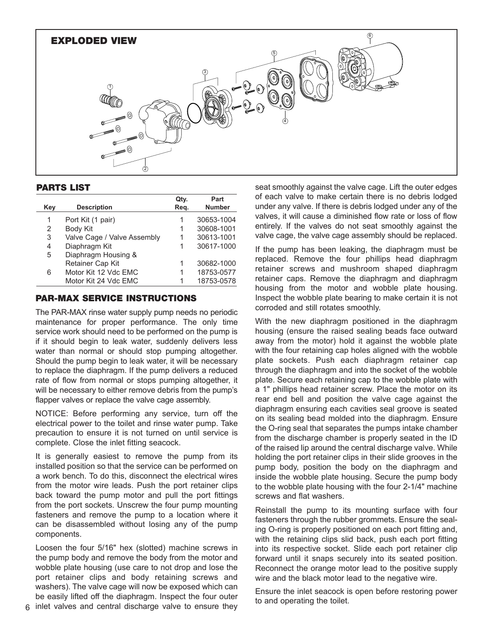

#### **PARTS LIST**

|     |                             | Qty. | Part          |
|-----|-----------------------------|------|---------------|
| Key | <b>Description</b>          | Reg. | <b>Number</b> |
| 1   | Port Kit (1 pair)           | 1    | 30653-1004    |
| 2   | Body Kit                    | 1    | 30608-1001    |
| 3   | Valve Cage / Valve Assembly | 1    | 30613-1001    |
| 4   | Diaphragm Kit               | 1    | 30617-1000    |
| 5   | Diaphragm Housing &         |      |               |
|     | Retainer Cap Kit            |      | 30682-1000    |
| 6   | Motor Kit 12 Vdc EMC        | 1    | 18753-0577    |
|     | Motor Kit 24 Vdc EMC        |      | 18753-0578    |

## **PAR-MAX SERVICE INSTRUCTIONS**

The PAR-MAX rinse water supply pump needs no periodic maintenance for proper performance. The only time service work should need to be performed on the pump is if it should begin to leak water, suddenly delivers less water than normal or should stop pumping altogether. Should the pump begin to leak water, it will be necessary to replace the diaphragm. If the pump delivers a reduced rate of flow from normal or stops pumping altogether, it will be necessary to either remove debris from the pump's flapper valves or replace the valve cage assembly.

NOTICE: Before performing any service, turn off the electrical power to the toilet and rinse water pump. Take precaution to ensure it is not turned on until service is complete. Close the inlet fitting seacock.

It is generally easiest to remove the pump from its installed position so that the service can be performed on a work bench. To do this, disconnect the electrical wires from the motor wire leads. Push the port retainer clips back toward the pump motor and pull the port fittings from the port sockets. Unscrew the four pump mounting fasteners and remove the pump to a location where it can be disassembled without losing any of the pump components.

Loosen the four 5/16" hex (slotted) machine screws in the pump body and remove the body from the motor and wobble plate housing (use care to not drop and lose the port retainer clips and body retaining screws and washers). The valve cage will now be exposed which can be easily lifted off the diaphragm. Inspect the four outer inlet valves and central discharge valve to ensure they

6

seat smoothly against the valve cage. Lift the outer edges of each valve to make certain there is no debris lodged under any valve. If there is debris lodged under any of the valves, it will cause a diminished flow rate or loss of flow entirely. If the valves do not seat smoothly against the valve cage, the valve cage assembly should be replaced.

If the pump has been leaking, the diaphragm must be replaced. Remove the four phillips head diaphragm retainer screws and mushroom shaped diaphragm retainer caps. Remove the diaphragm and diaphragm housing from the motor and wobble plate housing. Inspect the wobble plate bearing to make certain it is not corroded and still rotates smoothly.

With the new diaphragm positioned in the diaphragm housing (ensure the raised sealing beads face outward away from the motor) hold it against the wobble plate with the four retaining cap holes aligned with the wobble plate sockets. Push each diaphragm retainer cap through the diaphragm and into the socket of the wobble plate. Secure each retaining cap to the wobble plate with a 1" phillips head retainer screw. Place the motor on its rear end bell and position the valve cage against the diaphragm ensuring each cavities seal groove is seated on its sealing bead molded into the diaphragm. Ensure the O-ring seal that separates the pumps intake chamber from the discharge chamber is properly seated in the ID of the raised lip around the central discharge valve. While holding the port retainer clips in their slide grooves in the pump body, position the body on the diaphragm and inside the wobble plate housing. Secure the pump body to the wobble plate housing with the four 2-1/4" machine screws and flat washers.

Reinstall the pump to its mounting surface with four fasteners through the rubber grommets. Ensure the sealing O-ring is properly positioned on each port fitting and, with the retaining clips slid back, push each port fitting into its respective socket. Slide each port retainer clip forward until it snaps securely into its seated position. Reconnect the orange motor lead to the positive supply wire and the black motor lead to the negative wire.

Ensure the inlet seacock is open before restoring power to and operating the toilet.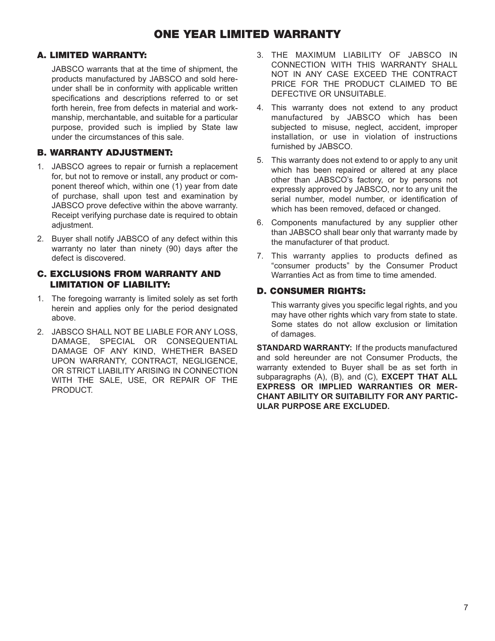# **ONE YEAR LIMITED WARRANTY**

# **A. LIMITED WARRANTY:**

JABSCO warrants that at the time of shipment, the products manufactured by JABSCO and sold hereunder shall be in conformity with applicable written specifications and descriptions referred to or set forth herein, free from defects in material and workmanship, merchantable, and suitable for a particular purpose, provided such is implied by State law under the circumstances of this sale.

# **B. WARRANTY ADJUSTMENT:**

- 1. JABSCO agrees to repair or furnish a replacement for, but not to remove or install, any product or component thereof which, within one (1) year from date of purchase, shall upon test and examination by JABSCO prove defective within the above warranty. Receipt verifying purchase date is required to obtain adiustment.
- 2. Buyer shall notify JABSCO of any defect within this warranty no later than ninety (90) days after the defect is discovered.

# **C. EXCLUSIONS FROM WARRANTY AND LIMITATION OF LIABILITY:**

- 1. The foregoing warranty is limited solely as set forth herein and applies only for the period designated above.
- 2. JABSCO SHALL NOT BE LIABLE FOR ANY LOSS, DAMAGE, SPECIAL OR CONSEQUENTIAL DAMAGE OF ANY KIND, WHETHER BASED UPON WARRANTY, CONTRACT, NEGLIGENCE, OR STRICT LIABILITY ARISING IN CONNECTION WITH THE SALE, USE, OR REPAIR OF THE PRODUCT.
- 3. THE MAXIMUM LIABILITY OF JABSCO IN CONNECTION WITH THIS WARRANTY SHALL NOT IN ANY CASE EXCEED THE CONTRACT PRICE FOR THE PRODUCT CLAIMED TO BE DEFECTIVE OR UNSUITABLE.
- 4. This warranty does not extend to any product manufactured by JABSCO which has been subjected to misuse, neglect, accident, improper installation, or use in violation of instructions furnished by JABSCO.
- 5. This warranty does not extend to or apply to any unit which has been repaired or altered at any place other than JABSCO's factory, or by persons not expressly approved by JABSCO, nor to any unit the serial number, model number, or identification of which has been removed, defaced or changed.
- 6. Components manufactured by any supplier other than JABSCO shall bear only that warranty made by the manufacturer of that product.
- 7. This warranty applies to products defined as "consumer products" by the Consumer Product Warranties Act as from time to time amended.

# **D. CONSUMER RIGHTS:**

This warranty gives you specific legal rights, and you may have other rights which vary from state to state. Some states do not allow exclusion or limitation of damages.

**STANDARD WARRANTY:** If the products manufactured and sold hereunder are not Consumer Products, the warranty extended to Buyer shall be as set forth in subparagraphs (A), (B), and (C), **EXCEPT THAT ALL EXPRESS OR IMPLIED WARRANTIES OR MER-CHANT ABILITY OR SUITABILITY FOR ANY PARTIC-ULAR PURPOSE ARE EXCLUDED.**